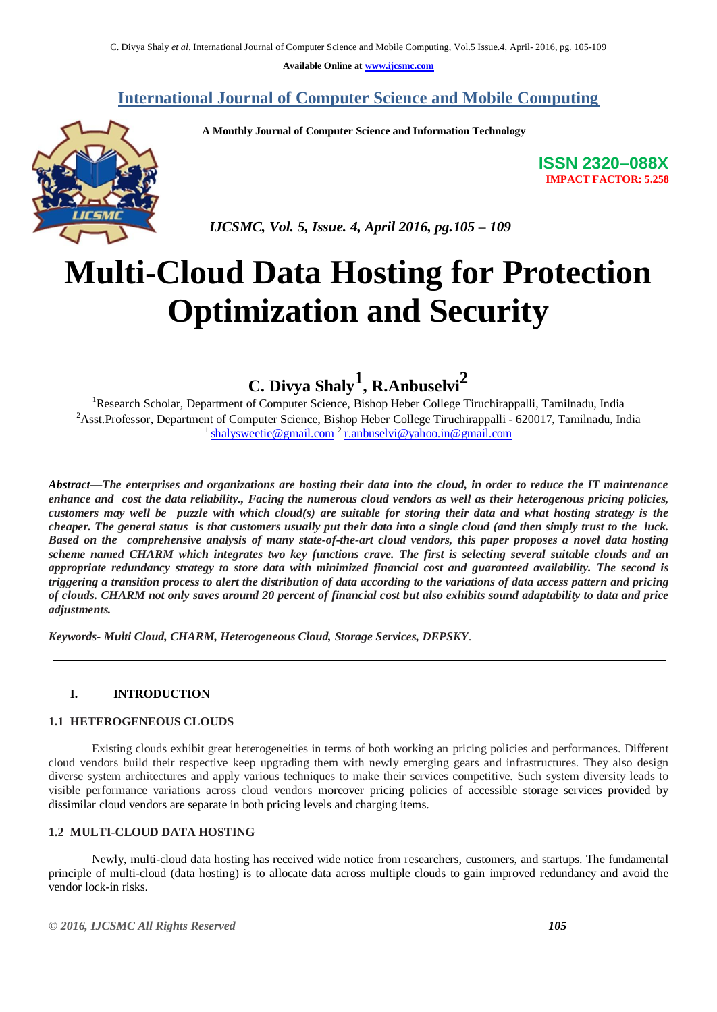**Available Online at [www.ijcsmc.com](http://www.ijcsmc.com/)**

## **International Journal of Computer Science and Mobile Computing**

 **A Monthly Journal of Computer Science and Information Technology**



**ISSN 2320–088X IMPACT FACTOR: 5.258**

 *IJCSMC, Vol. 5, Issue. 4, April 2016, pg.105 – 109*

# **Multi-Cloud Data Hosting for Protection Optimization and Security**

**C. Divya Shaly<sup>1</sup> , R.Anbuselvi<sup>2</sup>**

<sup>1</sup>Research Scholar, Department of Computer Science, Bishop Heber College Tiruchirappalli, Tamilnadu, India <sup>2</sup>Asst.Professor, Department of Computer Science, Bishop Heber College Tiruchirappalli - 620017, Tamilnadu, India <sup>1</sup> [shalysweetie@gmail.com](mailto:shalysweetie@gmail.com) <sup>[2](mailto:2)</sup> [r.anbuselvi@yahoo.in@gmail.com](mailto:r.anbuselvi@yahoo.in@gmail.com)

*Abstract—The enterprises and organizations are hosting their data into the cloud, in order to reduce the IT maintenance enhance and cost the data reliability., Facing the numerous cloud vendors as well as their heterogenous pricing policies, customers may well be puzzle with which cloud(s) are suitable for storing their data and what hosting strategy is the cheaper. The general status is that customers usually put their data into a single cloud (and then simply trust to the luck. Based on the comprehensive analysis of many state-of-the-art cloud vendors, this paper proposes a novel data hosting scheme named CHARM which integrates two key functions crave. The first is selecting several suitable clouds and an appropriate redundancy strategy to store data with minimized financial cost and guaranteed availability. The second is triggering a transition process to alert the distribution of data according to the variations of data access pattern and pricing of clouds. CHARM not only saves around 20 percent of financial cost but also exhibits sound adaptability to data and price adjustments.*

*Keywords- Multi Cloud, CHARM, Heterogeneous Cloud, Storage Services, DEPSKY*.

## **I. INTRODUCTION**

#### **1.1 HETEROGENEOUS CLOUDS**

Existing clouds exhibit great heterogeneities in terms of both working an pricing policies and performances. Different cloud vendors build their respective keep upgrading them with newly emerging gears and infrastructures. They also design diverse system architectures and apply various techniques to make their services competitive. Such system diversity leads to visible performance variations across cloud vendors moreover pricing policies of accessible storage services provided by dissimilar cloud vendors are separate in both pricing levels and charging items.

## **1.2 MULTI-CLOUD DATA HOSTING**

Newly, multi-cloud data hosting has received wide notice from researchers, customers, and startups. The fundamental principle of multi-cloud (data hosting) is to allocate data across multiple clouds to gain improved redundancy and avoid the vendor lock-in risks.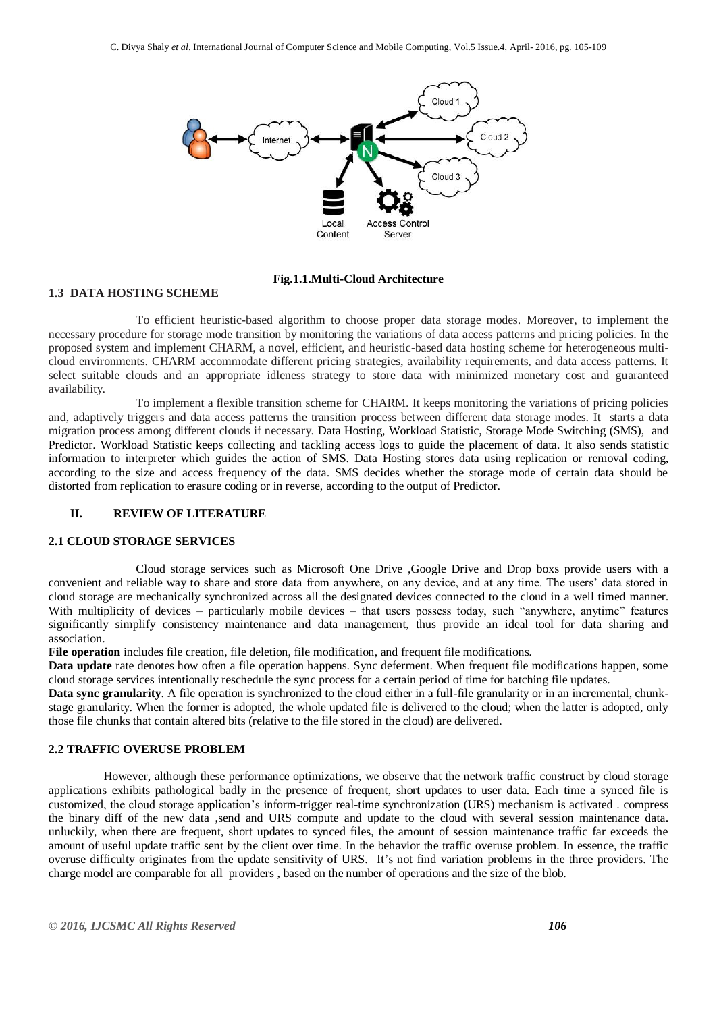

**Fig.1.1.Multi-Cloud Architecture**

#### **1.3 DATA HOSTING SCHEME**

To efficient heuristic-based algorithm to choose proper data storage modes. Moreover, to implement the necessary procedure for storage mode transition by monitoring the variations of data access patterns and pricing policies. In the proposed system and implement CHARM, a novel, efficient, and heuristic-based data hosting scheme for heterogeneous multicloud environments. CHARM accommodate different pricing strategies, availability requirements, and data access patterns. It select suitable clouds and an appropriate idleness strategy to store data with minimized monetary cost and guaranteed availability.

To implement a flexible transition scheme for CHARM. It keeps monitoring the variations of pricing policies and, adaptively triggers and data access patterns the transition process between different data storage modes. It starts a data migration process among different clouds if necessary. Data Hosting, Workload Statistic, Storage Mode Switching (SMS), and Predictor. Workload Statistic keeps collecting and tackling access logs to guide the placement of data. It also sends statistic information to interpreter which guides the action of SMS. Data Hosting stores data using replication or removal coding, according to the size and access frequency of the data. SMS decides whether the storage mode of certain data should be distorted from replication to erasure coding or in reverse, according to the output of Predictor.

## **II. REVIEW OF LITERATURE**

#### **2.1 CLOUD STORAGE SERVICES**

Cloud storage services such as Microsoft One Drive ,Google Drive and Drop boxs provide users with a convenient and reliable way to share and store data from anywhere, on any device, and at any time. The users' data stored in cloud storage are mechanically synchronized across all the designated devices connected to the cloud in a well timed manner. With multiplicity of devices – particularly mobile devices – that users possess today, such "anywhere, anytime" features significantly simplify consistency maintenance and data management, thus provide an ideal tool for data sharing and association.

**File operation** includes file creation, file deletion, file modification, and frequent file modifications.

**Data update** rate denotes how often a file operation happens. Sync deferment. When frequent file modifications happen, some cloud storage services intentionally reschedule the sync process for a certain period of time for batching file updates.

**Data sync granularity**. A file operation is synchronized to the cloud either in a full-file granularity or in an incremental, chunkstage granularity. When the former is adopted, the whole updated file is delivered to the cloud; when the latter is adopted, only those file chunks that contain altered bits (relative to the file stored in the cloud) are delivered.

## **2.2 TRAFFIC OVERUSE PROBLEM**

However, although these performance optimizations, we observe that the network traffic construct by cloud storage applications exhibits pathological badly in the presence of frequent, short updates to user data. Each time a synced file is customized, the cloud storage application's inform-trigger real-time synchronization (URS) mechanism is activated . compress the binary diff of the new data ,send and URS compute and update to the cloud with several session maintenance data. unluckily, when there are frequent, short updates to synced files, the amount of session maintenance traffic far exceeds the amount of useful update traffic sent by the client over time. In the behavior the traffic overuse problem. In essence, the traffic overuse difficulty originates from the update sensitivity of URS. It's not find variation problems in the three providers. The charge model are comparable for all providers , based on the number of operations and the size of the blob.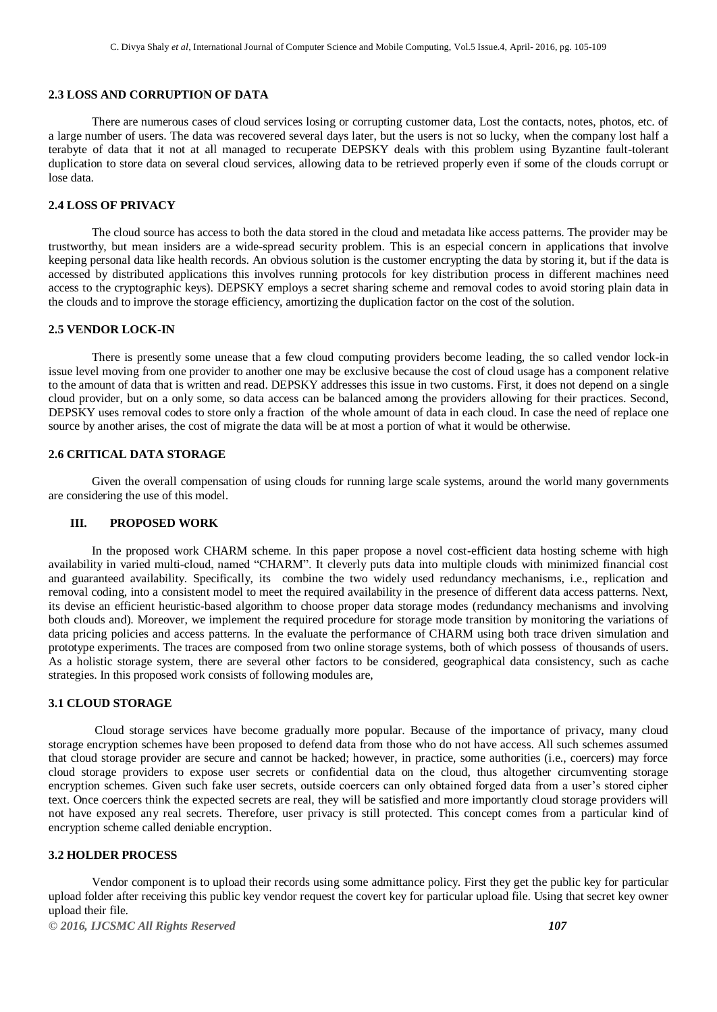#### **2.3 LOSS AND CORRUPTION OF DATA**

There are numerous cases of cloud services losing or corrupting customer data, Lost the contacts, notes, photos, etc. of a large number of users. The data was recovered several days later, but the users is not so lucky, when the company lost half a terabyte of data that it not at all managed to recuperate DEPSKY deals with this problem using Byzantine fault-tolerant duplication to store data on several cloud services, allowing data to be retrieved properly even if some of the clouds corrupt or lose data.

## **2.4 LOSS OF PRIVACY**

The cloud source has access to both the data stored in the cloud and metadata like access patterns. The provider may be trustworthy, but mean insiders are a wide-spread security problem. This is an especial concern in applications that involve keeping personal data like health records. An obvious solution is the customer encrypting the data by storing it, but if the data is accessed by distributed applications this involves running protocols for key distribution process in different machines need access to the cryptographic keys). DEPSKY employs a secret sharing scheme and removal codes to avoid storing plain data in the clouds and to improve the storage efficiency, amortizing the duplication factor on the cost of the solution.

#### **2.5 VENDOR LOCK-IN**

There is presently some unease that a few cloud computing providers become leading, the so called vendor lock-in issue level moving from one provider to another one may be exclusive because the cost of cloud usage has a component relative to the amount of data that is written and read. DEPSKY addresses this issue in two customs. First, it does not depend on a single cloud provider, but on a only some, so data access can be balanced among the providers allowing for their practices. Second, DEPSKY uses removal codes to store only a fraction of the whole amount of data in each cloud. In case the need of replace one source by another arises, the cost of migrate the data will be at most a portion of what it would be otherwise.

#### **2.6 CRITICAL DATA STORAGE**

Given the overall compensation of using clouds for running large scale systems, around the world many governments are considering the use of this model.

#### **III. PROPOSED WORK**

In the proposed work CHARM scheme. In this paper propose a novel cost-efficient data hosting scheme with high availability in varied multi-cloud, named "CHARM". It cleverly puts data into multiple clouds with minimized financial cost and guaranteed availability. Specifically, its combine the two widely used redundancy mechanisms, i.e., replication and removal coding, into a consistent model to meet the required availability in the presence of different data access patterns. Next, its devise an efficient heuristic-based algorithm to choose proper data storage modes (redundancy mechanisms and involving both clouds and). Moreover, we implement the required procedure for storage mode transition by monitoring the variations of data pricing policies and access patterns. In the evaluate the performance of CHARM using both trace driven simulation and prototype experiments. The traces are composed from two online storage systems, both of which possess of thousands of users. As a holistic storage system, there are several other factors to be considered, geographical data consistency, such as cache strategies. In this proposed work consists of following modules are,

## **3.1 CLOUD STORAGE**

Cloud storage services have become gradually more popular. Because of the importance of privacy, many cloud storage encryption schemes have been proposed to defend data from those who do not have access. All such schemes assumed that cloud storage provider are secure and cannot be hacked; however, in practice, some authorities (i.e., coercers) may force cloud storage providers to expose user secrets or confidential data on the cloud, thus altogether circumventing storage encryption schemes. Given such fake user secrets, outside coercers can only obtained forged data from a user's stored cipher text. Once coercers think the expected secrets are real, they will be satisfied and more importantly cloud storage providers will not have exposed any real secrets. Therefore, user privacy is still protected. This concept comes from a particular kind of encryption scheme called deniable encryption.

#### **3.2 HOLDER PROCESS**

Vendor component is to upload their records using some admittance policy. First they get the public key for particular upload folder after receiving this public key vendor request the covert key for particular upload file. Using that secret key owner upload their file.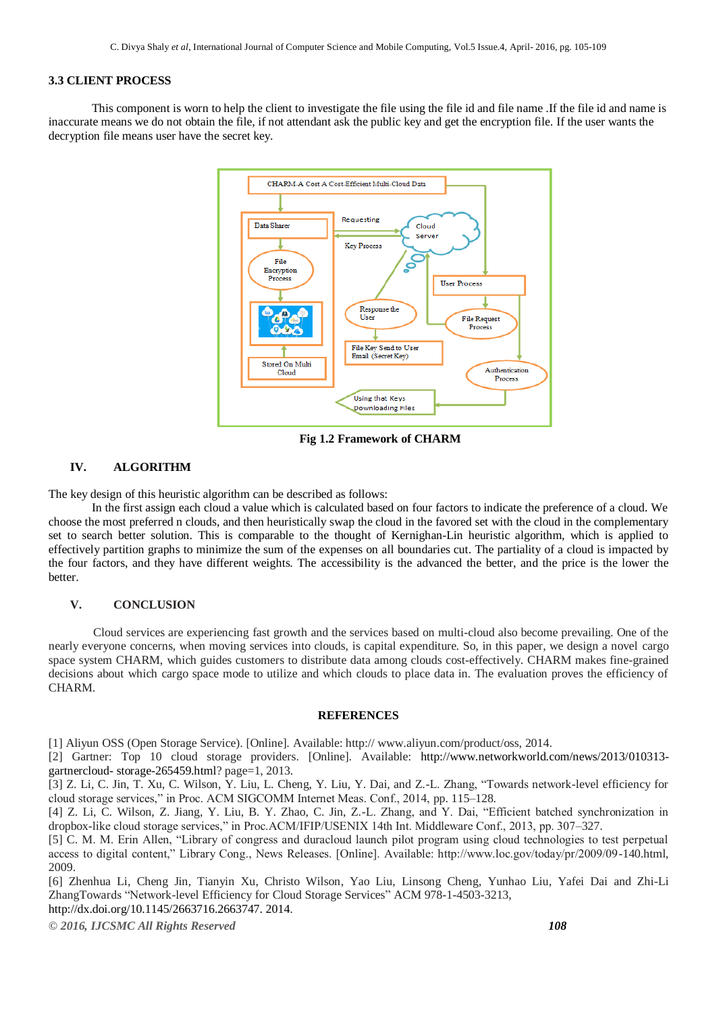#### **3.3 CLIENT PROCESS**

This component is worn to help the client to investigate the file using the file id and file name .If the file id and name is inaccurate means we do not obtain the file, if not attendant ask the public key and get the encryption file. If the user wants the decryption file means user have the secret key.



**Fig 1.2 Framework of CHARM**

## **IV. ALGORITHM**

The key design of this heuristic algorithm can be described as follows:

In the first assign each cloud a value which is calculated based on four factors to indicate the preference of a cloud. We choose the most preferred n clouds, and then heuristically swap the cloud in the favored set with the cloud in the complementary set to search better solution. This is comparable to the thought of Kernighan-Lin heuristic algorithm, which is applied to effectively partition graphs to minimize the sum of the expenses on all boundaries cut. The partiality of a cloud is impacted by the four factors, and they have different weights. The accessibility is the advanced the better, and the price is the lower the better.

#### **V. CONCLUSION**

 Cloud services are experiencing fast growth and the services based on multi-cloud also become prevailing. One of the nearly everyone concerns, when moving services into clouds, is capital expenditure. So, in this paper, we design a novel cargo space system CHARM, which guides customers to distribute data among clouds cost-effectively. CHARM makes fine-grained decisions about which cargo space mode to utilize and which clouds to place data in. The evaluation proves the efficiency of CHARM.

#### **REFERENCES**

[1] Aliyun OSS (Open Storage Service). [Online]. Available: http:// www.aliyun.com/product/oss, 2014.

[2] Gartner: Top 10 cloud storage providers. [Online]. Available: [http://www.networkworld.com/news/2013/010313](http://www.networkworld.com/news/2013/010313-gartnercloud-%20storage-265459.html) gartnercloud- [storage-265459.html?](http://www.networkworld.com/news/2013/010313-gartnercloud-%20storage-265459.html) page=1, 2013.

[3] Z. Li, C. Jin, T. Xu, C. Wilson, Y. Liu, L. Cheng, Y. Liu, Y. Dai, and Z.-L. Zhang, "Towards network-level efficiency for cloud storage services," in Proc. ACM SIGCOMM Internet Meas. Conf., 2014, pp. 115–128.

[4] Z. Li, C. Wilson, Z. Jiang, Y. Liu, B. Y. Zhao, C. Jin, Z.-L. Zhang, and Y. Dai, "Efficient batched synchronization in dropbox-like cloud storage services," in Proc.ACM/IFIP/USENIX 14th Int. Middleware Conf., 2013, pp. 307–327.

[5] C. M. M. Erin Allen, "Library of congress and duracloud launch pilot program using cloud technologies to test perpetual access to digital content," Library Cong., News Releases. [Online]. Available: http://www.loc.gov/today/pr/2009/09-140.html, 2009.

[6] Zhenhua Li, Cheng Jin, Tianyin Xu, Christo Wilson, Yao Liu, Linsong Cheng, Yunhao Liu, Yafei Dai and Zhi-Li ZhangTowards "Network-level Efficiency for Cloud Storage Services" ACM 978-1-4503-3213, [http://dx.doi.org/10.1145/2663716.2663747. 2014.](http://dx.doi.org/10.1145/2663716.2663747.%202014)

*© 2016, IJCSMC All Rights Reserved 108*